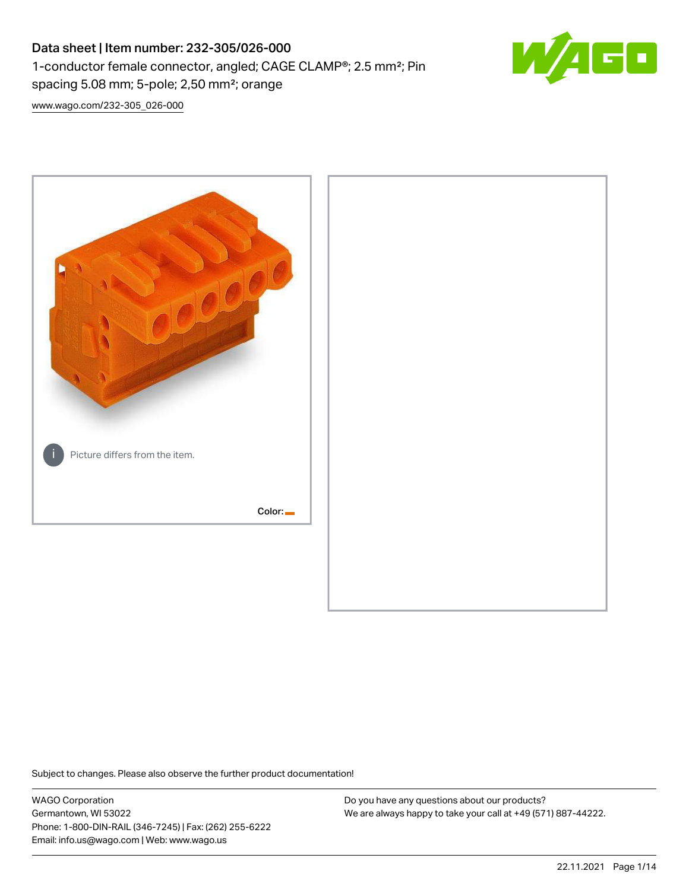# Data sheet | Item number: 232-305/026-000 1-conductor female connector, angled; CAGE CLAMP®; 2.5 mm²; Pin spacing 5.08 mm; 5-pole; 2,50 mm²; orange



[www.wago.com/232-305\\_026-000](http://www.wago.com/232-305_026-000)



Subject to changes. Please also observe the further product documentation!

WAGO Corporation Germantown, WI 53022 Phone: 1-800-DIN-RAIL (346-7245) | Fax: (262) 255-6222 Email: info.us@wago.com | Web: www.wago.us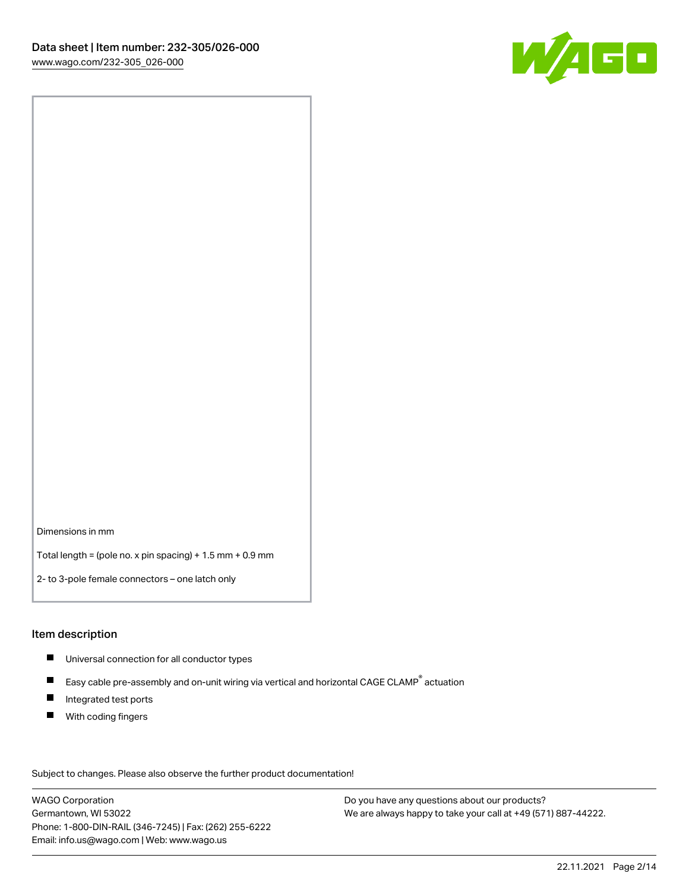

Dimensions in mm

Total length = (pole no. x pin spacing) + 1.5 mm + 0.9 mm

2- to 3-pole female connectors – one latch only

#### Item description

- **Universal connection for all conductor types**
- Easy cable pre-assembly and on-unit wiring via vertical and horizontal CAGE CLAMP<sup>®</sup> actuation  $\blacksquare$
- $\blacksquare$ Integrated test ports
- $\blacksquare$ With coding fingers

Subject to changes. Please also observe the further product documentation! Data

WAGO Corporation Germantown, WI 53022 Phone: 1-800-DIN-RAIL (346-7245) | Fax: (262) 255-6222 Email: info.us@wago.com | Web: www.wago.us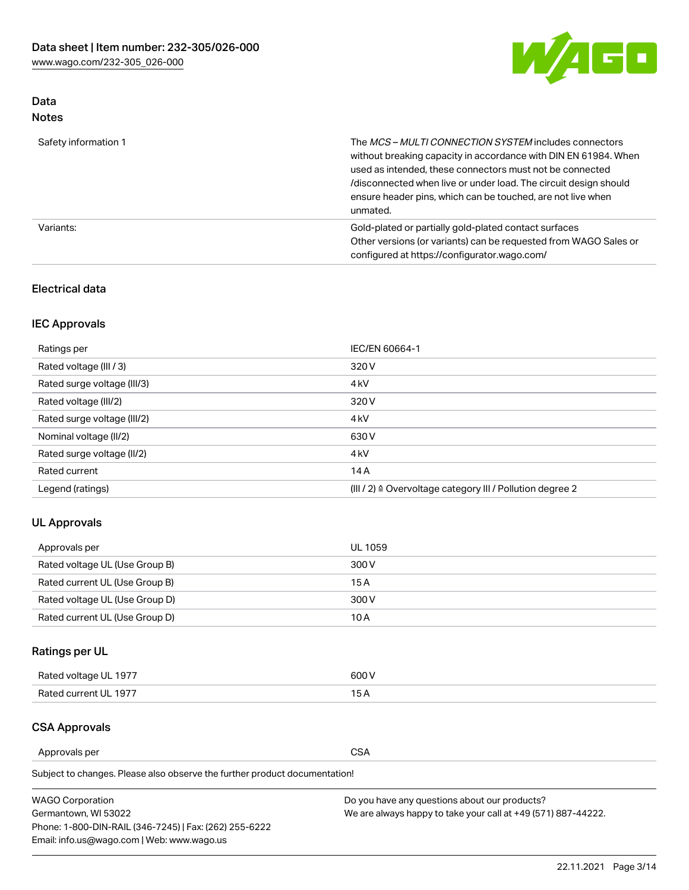

# Data Notes

| Safety information 1 | The MCS-MULTI CONNECTION SYSTEM includes connectors<br>without breaking capacity in accordance with DIN EN 61984. When<br>used as intended, these connectors must not be connected<br>/disconnected when live or under load. The circuit design should<br>ensure header pins, which can be touched, are not live when<br>unmated. |
|----------------------|-----------------------------------------------------------------------------------------------------------------------------------------------------------------------------------------------------------------------------------------------------------------------------------------------------------------------------------|
| Variants:            | Gold-plated or partially gold-plated contact surfaces<br>Other versions (or variants) can be requested from WAGO Sales or<br>configured at https://configurator.wago.com/                                                                                                                                                         |

#### Electrical data

# IEC Approvals

| Ratings per                 | IEC/EN 60664-1                                                        |
|-----------------------------|-----------------------------------------------------------------------|
| Rated voltage (III / 3)     | 320 V                                                                 |
| Rated surge voltage (III/3) | 4 <sub>k</sub> V                                                      |
| Rated voltage (III/2)       | 320 V                                                                 |
| Rated surge voltage (III/2) | 4 <sub>k</sub> V                                                      |
| Nominal voltage (II/2)      | 630 V                                                                 |
| Rated surge voltage (II/2)  | 4 <sub>k</sub> V                                                      |
| Rated current               | 14A                                                                   |
| Legend (ratings)            | $(III / 2)$ $\triangle$ Overvoltage category III / Pollution degree 2 |

# UL Approvals

| Approvals per                  | UL 1059 |
|--------------------------------|---------|
| Rated voltage UL (Use Group B) | 300 V   |
| Rated current UL (Use Group B) | 15 A    |
| Rated voltage UL (Use Group D) | 300 V   |
| Rated current UL (Use Group D) | 10 A    |

# Ratings per UL

| Rated voltage UL 1977 | 300 V |
|-----------------------|-------|
| Rated current UL 1977 |       |

#### CSA Approvals

Approvals per CSA

Subject to changes. Please also observe the further product documentation!

| <b>WAGO Corporation</b>                                | Do you have any questions about our products?                 |
|--------------------------------------------------------|---------------------------------------------------------------|
| Germantown, WI 53022                                   | We are always happy to take your call at +49 (571) 887-44222. |
| Phone: 1-800-DIN-RAIL (346-7245)   Fax: (262) 255-6222 |                                                               |
| Email: info.us@wago.com   Web: www.wago.us             |                                                               |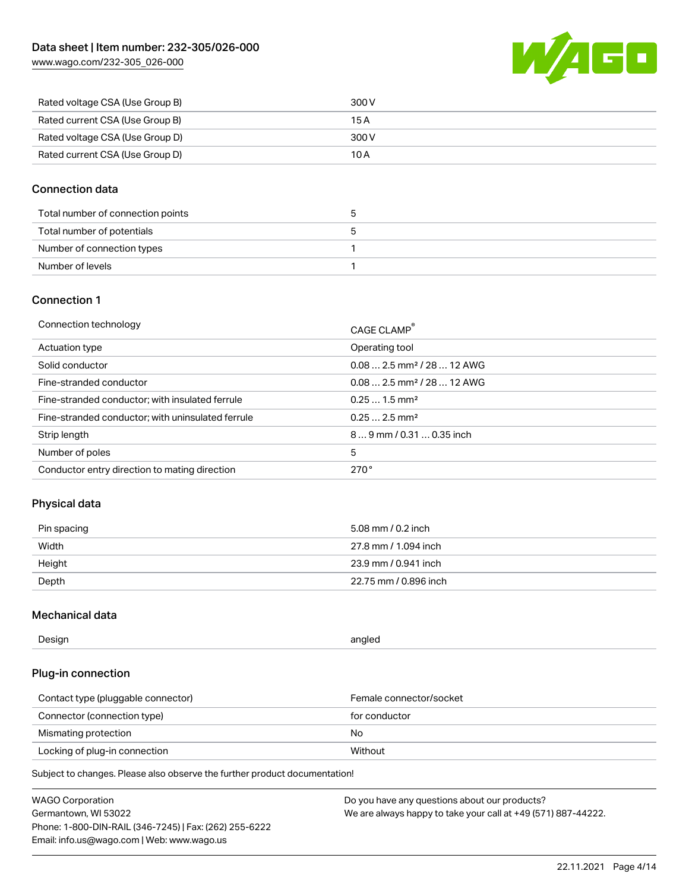[www.wago.com/232-305\\_026-000](http://www.wago.com/232-305_026-000)



| Rated voltage CSA (Use Group B) | 300 V |
|---------------------------------|-------|
| Rated current CSA (Use Group B) | 15 A  |
| Rated voltage CSA (Use Group D) | 300 V |
| Rated current CSA (Use Group D) | 10 A  |

#### Connection data

| Total number of connection points |  |
|-----------------------------------|--|
| Total number of potentials        |  |
| Number of connection types        |  |
| Number of levels                  |  |

#### Connection 1

| Connection technology                             | CAGE CLAMP®                            |
|---------------------------------------------------|----------------------------------------|
| Actuation type                                    | Operating tool                         |
| Solid conductor                                   | $0.082.5$ mm <sup>2</sup> / 28  12 AWG |
| Fine-stranded conductor                           | $0.082.5$ mm <sup>2</sup> / 28  12 AWG |
| Fine-stranded conductor; with insulated ferrule   | $0.251.5$ mm <sup>2</sup>              |
| Fine-stranded conductor; with uninsulated ferrule | $0.252.5$ mm <sup>2</sup>              |
| Strip length                                      | $89$ mm / 0.31  0.35 inch              |
| Number of poles                                   | 5                                      |
| Conductor entry direction to mating direction     | 270°                                   |

# Physical data

| Pin spacing | 5.08 mm / 0.2 inch    |
|-------------|-----------------------|
| Width       | 27.8 mm / 1.094 inch  |
| Height      | 23.9 mm / 0.941 inch  |
| Depth       | 22.75 mm / 0.896 inch |

### Mechanical data

| --<br>Design | angled<br>. . |
|--------------|---------------|
|              |               |

### Plug-in connection

| Contact type (pluggable connector) | Female connector/socket |
|------------------------------------|-------------------------|
| Connector (connection type)        | for conductor           |
| Mismating protection               | No                      |
| Locking of plug-in connection      | Without                 |

Subject to changes. Please also observe the further product documentation!

| <b>WAGO Corporation</b>                                | Do you have any questions about our products?                 |
|--------------------------------------------------------|---------------------------------------------------------------|
| Germantown, WI 53022                                   | We are always happy to take your call at +49 (571) 887-44222. |
| Phone: 1-800-DIN-RAIL (346-7245)   Fax: (262) 255-6222 |                                                               |
| Email: info.us@wago.com   Web: www.wago.us             |                                                               |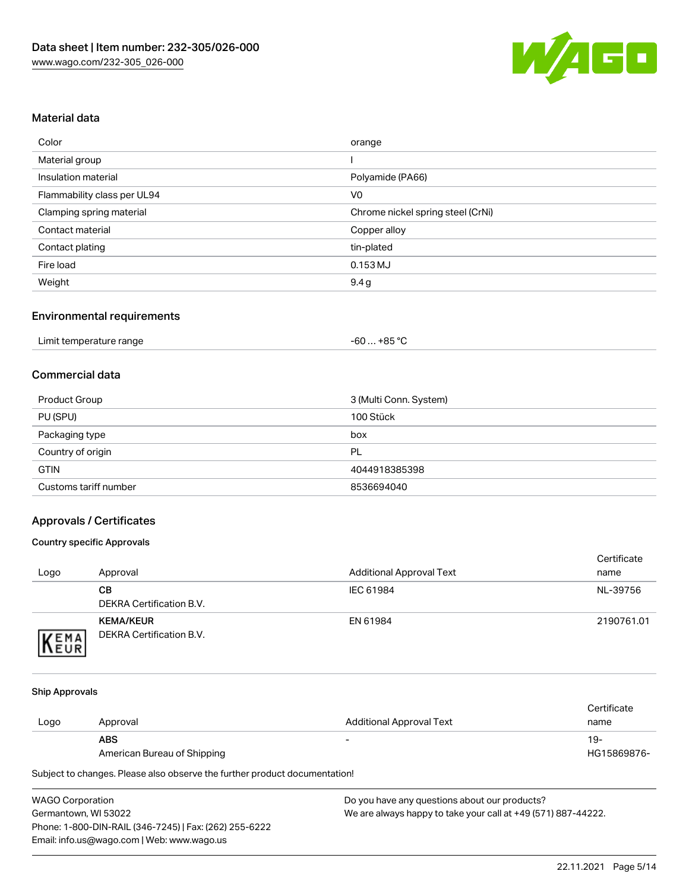

#### Material data

| Color                       | orange                            |
|-----------------------------|-----------------------------------|
| Material group              |                                   |
| Insulation material         | Polyamide (PA66)                  |
| Flammability class per UL94 | V <sub>0</sub>                    |
| Clamping spring material    | Chrome nickel spring steel (CrNi) |
| Contact material            | Copper alloy                      |
| Contact plating             | tin-plated                        |
| Fire load                   | 0.153 MJ                          |
| Weight                      | 9.4g                              |

#### Environmental requirements

| Limit temperature range<br>$\blacksquare$ | +85 °ົ<br>-60 |  |
|-------------------------------------------|---------------|--|
|-------------------------------------------|---------------|--|

#### Commercial data

| Product Group         | 3 (Multi Conn. System) |
|-----------------------|------------------------|
| PU (SPU)              | 100 Stück              |
| Packaging type        | box                    |
| Country of origin     | PL                     |
| <b>GTIN</b>           | 4044918385398          |
| Customs tariff number | 8536694040             |

## Approvals / Certificates

#### Country specific Approvals

| Logo                | Approval                                     | <b>Additional Approval Text</b> | Certificate<br>name |
|---------------------|----------------------------------------------|---------------------------------|---------------------|
|                     | CВ<br>DEKRA Certification B.V.               | IEC 61984                       | NL-39756            |
| EMA<br><b>INEUR</b> | <b>KEMA/KEUR</b><br>DEKRA Certification B.V. | EN 61984                        | 2190761.01          |

#### Ship Approvals

|      |                             |                          | Certificate |
|------|-----------------------------|--------------------------|-------------|
| Logo | Approval                    | Additional Approval Text | name        |
|      | <b>ABS</b>                  | $\overline{\phantom{0}}$ | 19-         |
|      | American Bureau of Shipping |                          | HG15869876- |

Subject to changes. Please also observe the further product documentation!

| <b>WAGO Corporation</b>                                | D٥ |
|--------------------------------------------------------|----|
| Germantown, WI 53022                                   | w  |
| Phone: 1-800-DIN-RAIL (346-7245)   Fax: (262) 255-6222 |    |
| Email: info.us@wago.com   Web: www.wago.us             |    |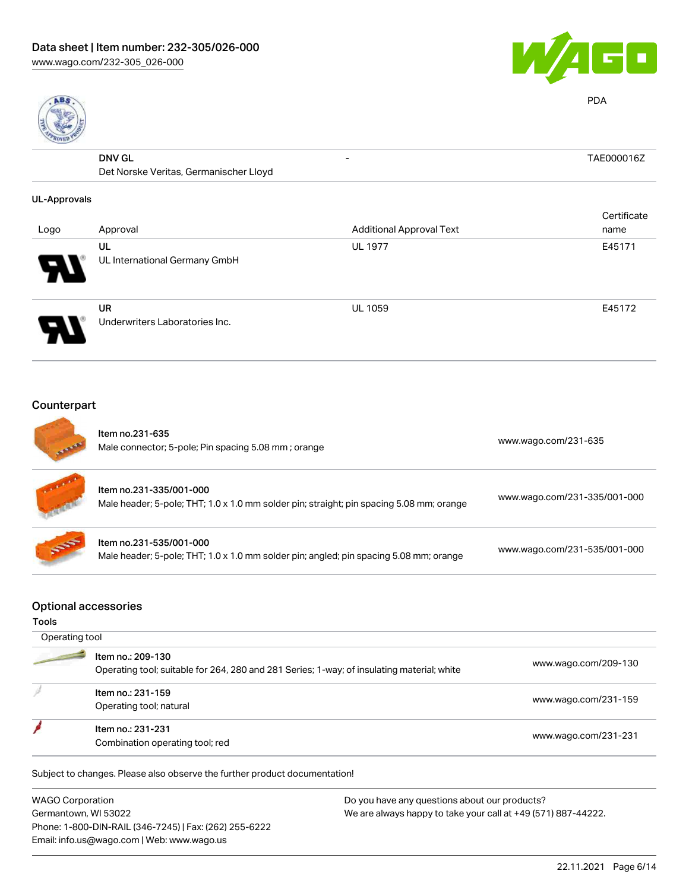



PDA

| 킎                   |                                        |                                 |             |
|---------------------|----------------------------------------|---------------------------------|-------------|
|                     | <b>DNV GL</b>                          | $\overline{\phantom{0}}$        | TAE000016Z  |
|                     | Det Norske Veritas, Germanischer Lloyd |                                 |             |
| <b>UL-Approvals</b> |                                        |                                 |             |
|                     |                                        |                                 | Certificate |
| Logo                | Approval                               | <b>Additional Approval Text</b> | name        |
|                     | UL                                     | <b>UL 1977</b>                  | E45171      |
|                     | UL International Germany GmbH          |                                 |             |
|                     | UR                                     | <b>UL 1059</b>                  | E45172      |
|                     | Underwriters Laboratories Inc.         |                                 |             |

## Counterpart

|                             | Item no.231-635<br>Male connector; 5-pole; Pin spacing 5.08 mm; orange                                              | www.wago.com/231-635         |
|-----------------------------|---------------------------------------------------------------------------------------------------------------------|------------------------------|
| M.                          | Item no.231-335/001-000<br>Male header; 5-pole; THT; 1.0 x 1.0 mm solder pin; straight; pin spacing 5.08 mm; orange | www.wago.com/231-335/001-000 |
| 555                         | Item no.231-535/001-000<br>Male header; 5-pole; THT; 1.0 x 1.0 mm solder pin; angled; pin spacing 5.08 mm; orange   | www.wago.com/231-535/001-000 |
| <b>Optional accessories</b> |                                                                                                                     |                              |

#### Tools

 Operating tool 2 Item no.: 209-130 Operating tool; suitable for 264, 280 and 281 Series; 1-way; of insulating material; white [www.wago.com/209-130](http://www.wago.com/209-130) Item no.: 231-159 Next tool; natural [www.wago.com/231-159](http://www.wago.com/231-159)<br>Operating tool; natural Item no.: 231-231 ntern no.. 231-231<br>Combination operating tool; red [www.wago.com/231-231](http://www.wago.com/231-231)

Subject to changes. Please also observe the further product documentation!

WAGO Corporation Germantown, WI 53022 Phone: 1-800-DIN-RAIL (346-7245) | Fax: (262) 255-6222 Email: info.us@wago.com | Web: www.wago.us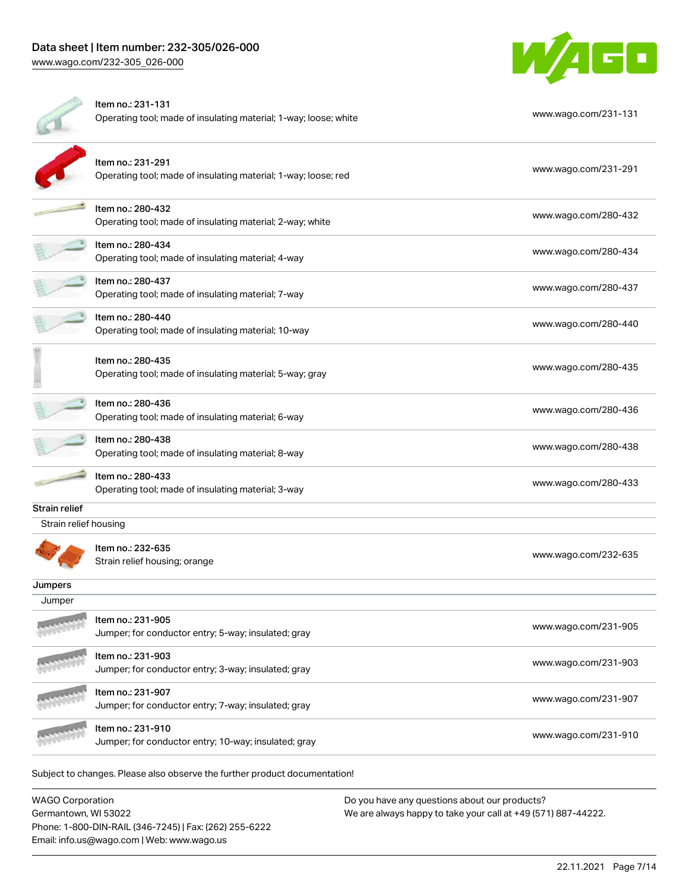

|                       | Item no.: 231-131<br>Operating tool; made of insulating material; 1-way; loose; white | www.wago.com/231-131 |
|-----------------------|---------------------------------------------------------------------------------------|----------------------|
|                       | Item no.: 231-291<br>Operating tool; made of insulating material; 1-way; loose; red   | www.wago.com/231-291 |
|                       | Item no.: 280-432<br>Operating tool; made of insulating material; 2-way; white        | www.wago.com/280-432 |
|                       | Item no.: 280-434<br>Operating tool; made of insulating material; 4-way               | www.wago.com/280-434 |
|                       | Item no.: 280-437<br>Operating tool; made of insulating material; 7-way               | www.wago.com/280-437 |
|                       | Item no.: 280-440<br>Operating tool; made of insulating material; 10-way              | www.wago.com/280-440 |
|                       | Item no.: 280-435<br>Operating tool; made of insulating material; 5-way; gray         | www.wago.com/280-435 |
|                       | Item no.: 280-436<br>Operating tool; made of insulating material; 6-way               | www.wago.com/280-436 |
|                       | Item no.: 280-438<br>Operating tool; made of insulating material; 8-way               | www.wago.com/280-438 |
|                       | Item no.: 280-433<br>Operating tool; made of insulating material; 3-way               | www.wago.com/280-433 |
| Strain relief         |                                                                                       |                      |
| Strain relief housing |                                                                                       |                      |
|                       | Item no.: 232-635<br>Strain relief housing; orange                                    | www.wago.com/232-635 |
| Jumpers               |                                                                                       |                      |
| Jumper                |                                                                                       |                      |
|                       | Item no.: 231-905<br>Jumper; for conductor entry; 5-way; insulated; gray              | www.wago.com/231-905 |
|                       | Item no.: 231-903<br>Jumper; for conductor entry; 3-way; insulated; gray              | www.wago.com/231-903 |
|                       | Item no.: 231-907<br>Jumper; for conductor entry; 7-way; insulated; gray              | www.wago.com/231-907 |
|                       | Item no.: 231-910<br>Jumper; for conductor entry; 10-way; insulated; gray             | www.wago.com/231-910 |
|                       | Subject to changes. Please also observe the further product documentation!            |                      |

| <b>WAGO Corporation</b>                                | Do you have any questions about our products?                 |
|--------------------------------------------------------|---------------------------------------------------------------|
| Germantown, WI 53022                                   | We are always happy to take your call at +49 (571) 887-44222. |
| Phone: 1-800-DIN-RAIL (346-7245)   Fax: (262) 255-6222 |                                                               |
| Email: info.us@wago.com   Web: www.wago.us             |                                                               |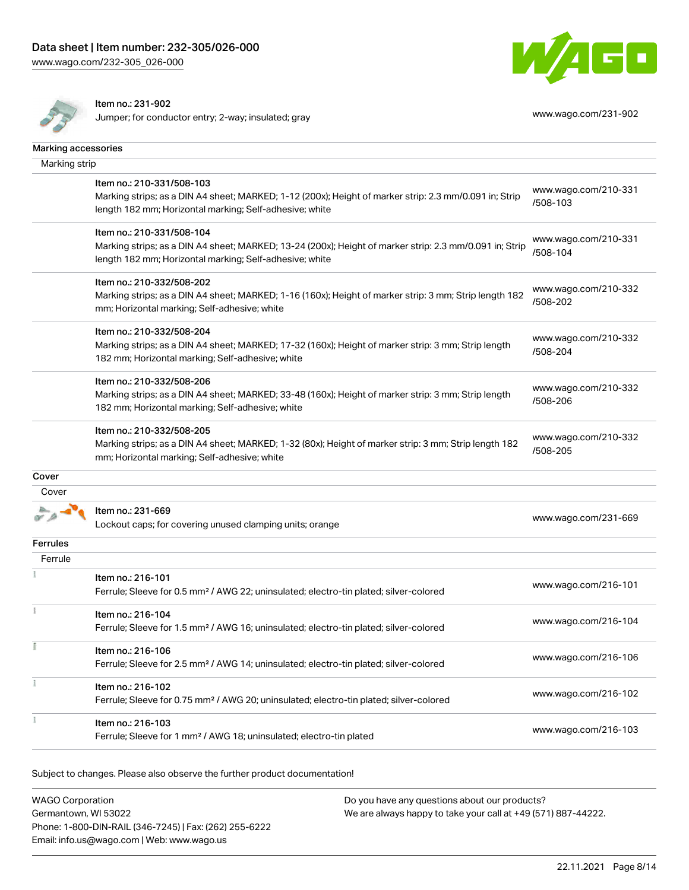



Item no.: 231-902

Jumper; for conductor entry; 2-way; insulated; gray [www.wago.com/231-902](http://www.wago.com/231-902)

| Marking accessories |                                                                                                                                                                                                 |                                  |
|---------------------|-------------------------------------------------------------------------------------------------------------------------------------------------------------------------------------------------|----------------------------------|
| Marking strip       |                                                                                                                                                                                                 |                                  |
|                     | Item no.: 210-331/508-103<br>Marking strips; as a DIN A4 sheet; MARKED; 1-12 (200x); Height of marker strip: 2.3 mm/0.091 in; Strip<br>length 182 mm; Horizontal marking; Self-adhesive; white  | www.wago.com/210-331<br>/508-103 |
|                     | Item no.: 210-331/508-104<br>Marking strips; as a DIN A4 sheet; MARKED; 13-24 (200x); Height of marker strip: 2.3 mm/0.091 in; Strip<br>length 182 mm; Horizontal marking; Self-adhesive; white | www.wago.com/210-331<br>/508-104 |
|                     | Item no.: 210-332/508-202<br>Marking strips; as a DIN A4 sheet; MARKED; 1-16 (160x); Height of marker strip: 3 mm; Strip length 182<br>mm; Horizontal marking; Self-adhesive; white             | www.wago.com/210-332<br>/508-202 |
|                     | Item no.: 210-332/508-204<br>Marking strips; as a DIN A4 sheet; MARKED; 17-32 (160x); Height of marker strip: 3 mm; Strip length<br>182 mm; Horizontal marking; Self-adhesive; white            | www.wago.com/210-332<br>/508-204 |
|                     | Item no.: 210-332/508-206<br>Marking strips; as a DIN A4 sheet; MARKED; 33-48 (160x); Height of marker strip: 3 mm; Strip length<br>182 mm; Horizontal marking; Self-adhesive; white            | www.wago.com/210-332<br>/508-206 |
|                     | Item no.: 210-332/508-205<br>Marking strips; as a DIN A4 sheet; MARKED; 1-32 (80x); Height of marker strip: 3 mm; Strip length 182<br>mm; Horizontal marking; Self-adhesive; white              | www.wago.com/210-332<br>/508-205 |
| Cover               |                                                                                                                                                                                                 |                                  |
| Cover               |                                                                                                                                                                                                 |                                  |
|                     | Item no.: 231-669<br>Lockout caps; for covering unused clamping units; orange                                                                                                                   | www.wago.com/231-669             |
| <b>Ferrules</b>     |                                                                                                                                                                                                 |                                  |
| Ferrule             |                                                                                                                                                                                                 |                                  |
|                     | Item no.: 216-101<br>Ferrule; Sleeve for 0.5 mm <sup>2</sup> / AWG 22; uninsulated; electro-tin plated; silver-colored                                                                          | www.wago.com/216-101             |
|                     | Item no.: 216-104<br>Ferrule; Sleeve for 1.5 mm <sup>2</sup> / AWG 16; uninsulated; electro-tin plated; silver-colored                                                                          | www.wago.com/216-104             |
|                     | Item no.: 216-106<br>Ferrule; Sleeve for 2.5 mm <sup>2</sup> / AWG 14; uninsulated; electro-tin plated; silver-colored                                                                          | www.wago.com/216-106             |
|                     | Item no.: 216-102<br>Ferrule; Sleeve for 0.75 mm <sup>2</sup> / AWG 20; uninsulated; electro-tin plated; silver-colored                                                                         | www.wago.com/216-102             |
|                     | Item no.: 216-103<br>Ferrule; Sleeve for 1 mm <sup>2</sup> / AWG 18; uninsulated; electro-tin plated                                                                                            | www.wago.com/216-103             |

Subject to changes. Please also observe the further product documentation!

| <b>WAGO Corporation</b>                                | Do you have any questions about our products?                 |
|--------------------------------------------------------|---------------------------------------------------------------|
| Germantown, WI 53022                                   | We are always happy to take your call at +49 (571) 887-44222. |
| Phone: 1-800-DIN-RAIL (346-7245)   Fax: (262) 255-6222 |                                                               |
| Email: info.us@wago.com   Web: www.wago.us             |                                                               |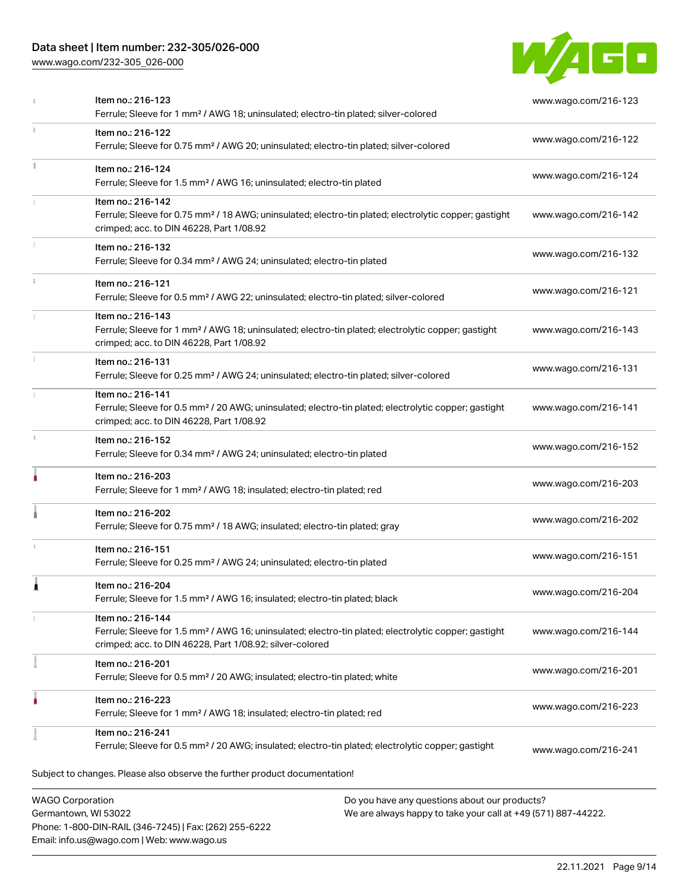# Data sheet | Item number: 232-305/026-000

Phone: 1-800-DIN-RAIL (346-7245) | Fax: (262) 255-6222

Email: info.us@wago.com | Web: www.wago.us

[www.wago.com/232-305\\_026-000](http://www.wago.com/232-305_026-000)



|                                                 | Item no.: 216-123<br>Ferrule; Sleeve for 1 mm <sup>2</sup> / AWG 18; uninsulated; electro-tin plated; silver-colored                                                                              |                                                                                                                | www.wago.com/216-123 |  |
|-------------------------------------------------|---------------------------------------------------------------------------------------------------------------------------------------------------------------------------------------------------|----------------------------------------------------------------------------------------------------------------|----------------------|--|
|                                                 | Item no.: 216-122<br>Ferrule; Sleeve for 0.75 mm <sup>2</sup> / AWG 20; uninsulated; electro-tin plated; silver-colored                                                                           |                                                                                                                | www.wago.com/216-122 |  |
|                                                 | Item no.: 216-124<br>Ferrule; Sleeve for 1.5 mm <sup>2</sup> / AWG 16; uninsulated; electro-tin plated                                                                                            |                                                                                                                | www.wago.com/216-124 |  |
|                                                 | Item no.: 216-142<br>Ferrule; Sleeve for 0.75 mm <sup>2</sup> / 18 AWG; uninsulated; electro-tin plated; electrolytic copper; gastight<br>crimped; acc. to DIN 46228, Part 1/08.92                |                                                                                                                | www.wago.com/216-142 |  |
|                                                 | Item no.: 216-132<br>Ferrule; Sleeve for 0.34 mm <sup>2</sup> / AWG 24; uninsulated; electro-tin plated                                                                                           |                                                                                                                | www.wago.com/216-132 |  |
|                                                 | Item no.: 216-121<br>Ferrule; Sleeve for 0.5 mm <sup>2</sup> / AWG 22; uninsulated; electro-tin plated; silver-colored                                                                            |                                                                                                                | www.wago.com/216-121 |  |
|                                                 | Item no.: 216-143<br>Ferrule; Sleeve for 1 mm <sup>2</sup> / AWG 18; uninsulated; electro-tin plated; electrolytic copper; gastight<br>crimped; acc. to DIN 46228, Part 1/08.92                   |                                                                                                                | www.wago.com/216-143 |  |
|                                                 | Item no.: 216-131<br>Ferrule; Sleeve for 0.25 mm <sup>2</sup> / AWG 24; uninsulated; electro-tin plated; silver-colored                                                                           |                                                                                                                | www.wago.com/216-131 |  |
|                                                 | Item no.: 216-141<br>Ferrule; Sleeve for 0.5 mm <sup>2</sup> / 20 AWG; uninsulated; electro-tin plated; electrolytic copper; gastight<br>crimped; acc. to DIN 46228, Part 1/08.92                 |                                                                                                                | www.wago.com/216-141 |  |
|                                                 | Item no.: 216-152<br>Ferrule; Sleeve for 0.34 mm <sup>2</sup> / AWG 24; uninsulated; electro-tin plated                                                                                           |                                                                                                                | www.wago.com/216-152 |  |
|                                                 | Item no.: 216-203<br>Ferrule; Sleeve for 1 mm <sup>2</sup> / AWG 18; insulated; electro-tin plated; red                                                                                           |                                                                                                                | www.wago.com/216-203 |  |
|                                                 | Item no.: 216-202<br>Ferrule; Sleeve for 0.75 mm <sup>2</sup> / 18 AWG; insulated; electro-tin plated; gray                                                                                       |                                                                                                                | www.wago.com/216-202 |  |
|                                                 | Item no.: 216-151<br>Ferrule; Sleeve for 0.25 mm <sup>2</sup> / AWG 24; uninsulated; electro-tin plated                                                                                           |                                                                                                                | www.wago.com/216-151 |  |
|                                                 | Item no.: 216-204<br>Ferrule; Sleeve for 1.5 mm <sup>2</sup> / AWG 16; insulated; electro-tin plated; black                                                                                       |                                                                                                                | www.wago.com/216-204 |  |
|                                                 | Item no.: 216-144<br>Ferrule; Sleeve for 1.5 mm <sup>2</sup> / AWG 16; uninsulated; electro-tin plated; electrolytic copper; gastight<br>crimped; acc. to DIN 46228, Part 1/08.92; silver-colored |                                                                                                                | www.wago.com/216-144 |  |
|                                                 | Item no.: 216-201<br>Ferrule; Sleeve for 0.5 mm <sup>2</sup> / 20 AWG; insulated; electro-tin plated; white                                                                                       |                                                                                                                | www.wago.com/216-201 |  |
|                                                 | Item no.: 216-223<br>Ferrule; Sleeve for 1 mm <sup>2</sup> / AWG 18; insulated; electro-tin plated; red                                                                                           |                                                                                                                | www.wago.com/216-223 |  |
|                                                 | Item no.: 216-241<br>Ferrule; Sleeve for 0.5 mm <sup>2</sup> / 20 AWG; insulated; electro-tin plated; electrolytic copper; gastight                                                               |                                                                                                                | www.wago.com/216-241 |  |
|                                                 | Subject to changes. Please also observe the further product documentation!                                                                                                                        |                                                                                                                |                      |  |
| <b>WAGO Corporation</b><br>Germantown, WI 53022 |                                                                                                                                                                                                   | Do you have any questions about our products?<br>We are always happy to take your call at +49 (571) 887-44222. |                      |  |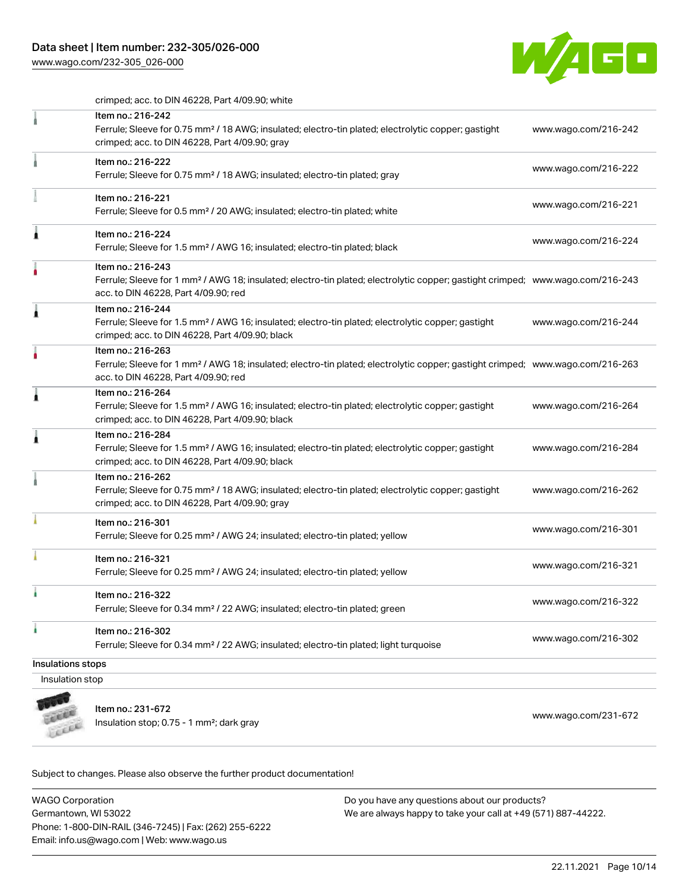# Data sheet | Item number: 232-305/026-000

[www.wago.com/232-305\\_026-000](http://www.wago.com/232-305_026-000)



crimped; acc. to DIN 46228, Part 4/09.90; white

|                   | Item no.: 216-242<br>Ferrule; Sleeve for 0.75 mm <sup>2</sup> / 18 AWG; insulated; electro-tin plated; electrolytic copper; gastight                                                                    | www.wago.com/216-242 |
|-------------------|---------------------------------------------------------------------------------------------------------------------------------------------------------------------------------------------------------|----------------------|
|                   | crimped; acc. to DIN 46228, Part 4/09.90; gray                                                                                                                                                          |                      |
|                   | Item no.: 216-222<br>Ferrule; Sleeve for 0.75 mm <sup>2</sup> / 18 AWG; insulated; electro-tin plated; gray                                                                                             | www.wago.com/216-222 |
|                   | Item no.: 216-221<br>Ferrule; Sleeve for 0.5 mm <sup>2</sup> / 20 AWG; insulated; electro-tin plated; white                                                                                             | www.wago.com/216-221 |
| ٨                 | Item no.: 216-224<br>Ferrule; Sleeve for 1.5 mm <sup>2</sup> / AWG 16; insulated; electro-tin plated; black                                                                                             | www.wago.com/216-224 |
|                   | Item no.: 216-243<br>Ferrule; Sleeve for 1 mm <sup>2</sup> / AWG 18; insulated; electro-tin plated; electrolytic copper; gastight crimped; www.wago.com/216-243<br>acc. to DIN 46228, Part 4/09.90; red |                      |
| 1                 | Item no.: 216-244<br>Ferrule; Sleeve for 1.5 mm <sup>2</sup> / AWG 16; insulated; electro-tin plated; electrolytic copper; gastight<br>crimped; acc. to DIN 46228, Part 4/09.90; black                  | www.wago.com/216-244 |
| ٥                 | Item no.: 216-263<br>Ferrule; Sleeve for 1 mm <sup>2</sup> / AWG 18; insulated; electro-tin plated; electrolytic copper; gastight crimped; www.wago.com/216-263<br>acc. to DIN 46228, Part 4/09.90; red |                      |
| 1                 | Item no.: 216-264<br>Ferrule; Sleeve for 1.5 mm <sup>2</sup> / AWG 16; insulated; electro-tin plated; electrolytic copper; gastight<br>crimped; acc. to DIN 46228, Part 4/09.90; black                  | www.wago.com/216-264 |
| 1                 | Item no.: 216-284<br>Ferrule; Sleeve for 1.5 mm <sup>2</sup> / AWG 16; insulated; electro-tin plated; electrolytic copper; gastight<br>crimped; acc. to DIN 46228, Part 4/09.90; black                  | www.wago.com/216-284 |
|                   | Item no.: 216-262<br>Ferrule; Sleeve for 0.75 mm <sup>2</sup> / 18 AWG; insulated; electro-tin plated; electrolytic copper; gastight<br>crimped; acc. to DIN 46228, Part 4/09.90; gray                  | www.wago.com/216-262 |
|                   | Item no.: 216-301<br>Ferrule; Sleeve for 0.25 mm <sup>2</sup> / AWG 24; insulated; electro-tin plated; yellow                                                                                           | www.wago.com/216-301 |
|                   | Item no.: 216-321<br>Ferrule; Sleeve for 0.25 mm <sup>2</sup> / AWG 24; insulated; electro-tin plated; yellow                                                                                           | www.wago.com/216-321 |
|                   | Item no.: 216-322<br>Ferrule; Sleeve for 0.34 mm <sup>2</sup> / 22 AWG; insulated; electro-tin plated; green                                                                                            | www.wago.com/216-322 |
| ì                 | Item no.: 216-302<br>Ferrule; Sleeve for 0.34 mm <sup>2</sup> / 22 AWG; insulated; electro-tin plated; light turquoise                                                                                  | www.wago.com/216-302 |
| Insulations stops |                                                                                                                                                                                                         |                      |
| Insulation stop   |                                                                                                                                                                                                         |                      |
|                   |                                                                                                                                                                                                         |                      |



Item no.: 231-672 Item ito... 231-072<br>Insulation stop; 0.75 - 1 mm²; dark gray [www.wago.com/231-672](http://www.wago.com/231-672)

Subject to changes. Please also observe the further product documentation!

WAGO Corporation Germantown, WI 53022 Phone: 1-800-DIN-RAIL (346-7245) | Fax: (262) 255-6222 Email: info.us@wago.com | Web: www.wago.us Do you have any questions about our products? We are always happy to take your call at +49 (571) 887-44222.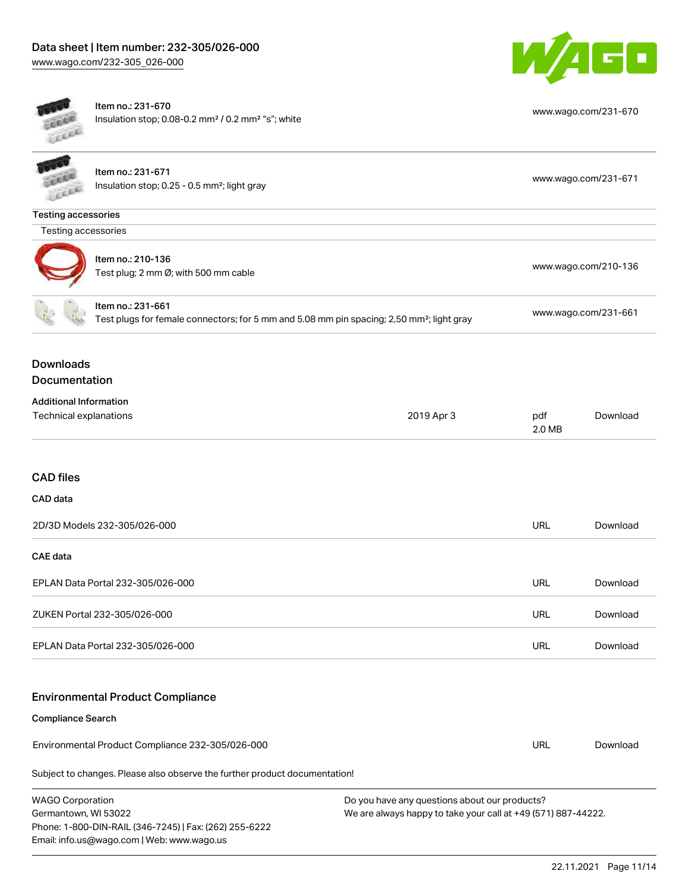Phone: 1-800-DIN-RAIL (346-7245) | Fax: (262) 255-6222

Email: info.us@wago.com | Web: www.wago.us



| Lecce                                                                                                                      | Item no.: 231-670<br>Insulation stop; 0.08-0.2 mm <sup>2</sup> / 0.2 mm <sup>2</sup> "s"; white |                      |                                                                                                                | www.wago.com/231-670 |  |  |
|----------------------------------------------------------------------------------------------------------------------------|-------------------------------------------------------------------------------------------------|----------------------|----------------------------------------------------------------------------------------------------------------|----------------------|--|--|
|                                                                                                                            | Item no.: 231-671<br>Insulation stop; 0.25 - 0.5 mm <sup>2</sup> ; light gray                   |                      |                                                                                                                | www.wago.com/231-671 |  |  |
| <b>Testing accessories</b>                                                                                                 |                                                                                                 |                      |                                                                                                                |                      |  |  |
| Testing accessories                                                                                                        |                                                                                                 |                      |                                                                                                                |                      |  |  |
| Item no.: 210-136<br>Test plug; 2 mm Ø; with 500 mm cable                                                                  |                                                                                                 | www.wago.com/210-136 |                                                                                                                |                      |  |  |
| Item no.: 231-661<br>Test plugs for female connectors; for 5 mm and 5.08 mm pin spacing; 2,50 mm <sup>2</sup> ; light gray |                                                                                                 |                      | www.wago.com/231-661                                                                                           |                      |  |  |
| <b>Downloads</b><br>Documentation                                                                                          |                                                                                                 |                      |                                                                                                                |                      |  |  |
| <b>Additional Information</b><br>Technical explanations                                                                    |                                                                                                 | 2019 Apr 3           | pdf<br>2.0 MB                                                                                                  | Download             |  |  |
| <b>CAD files</b>                                                                                                           |                                                                                                 |                      |                                                                                                                |                      |  |  |
| CAD data                                                                                                                   |                                                                                                 |                      |                                                                                                                |                      |  |  |
|                                                                                                                            | 2D/3D Models 232-305/026-000                                                                    |                      | <b>URL</b>                                                                                                     | Download             |  |  |
| <b>CAE</b> data                                                                                                            |                                                                                                 |                      |                                                                                                                |                      |  |  |
|                                                                                                                            | EPLAN Data Portal 232-305/026-000                                                               |                      | <b>URL</b>                                                                                                     | Download             |  |  |
|                                                                                                                            | ZUKEN Portal 232-305/026-000                                                                    |                      | <b>URL</b>                                                                                                     | Download             |  |  |
|                                                                                                                            | EPLAN Data Portal 232-305/026-000                                                               |                      | <b>URL</b>                                                                                                     | Download             |  |  |
|                                                                                                                            | <b>Environmental Product Compliance</b>                                                         |                      |                                                                                                                |                      |  |  |
| <b>Compliance Search</b>                                                                                                   |                                                                                                 |                      |                                                                                                                |                      |  |  |
|                                                                                                                            | Environmental Product Compliance 232-305/026-000                                                |                      | <b>URL</b>                                                                                                     | Download             |  |  |
|                                                                                                                            | Subject to changes. Please also observe the further product documentation!                      |                      |                                                                                                                |                      |  |  |
| <b>WAGO Corporation</b><br>Germantown, WI 53022                                                                            |                                                                                                 |                      | Do you have any questions about our products?<br>We are always happy to take your call at +49 (571) 887-44222. |                      |  |  |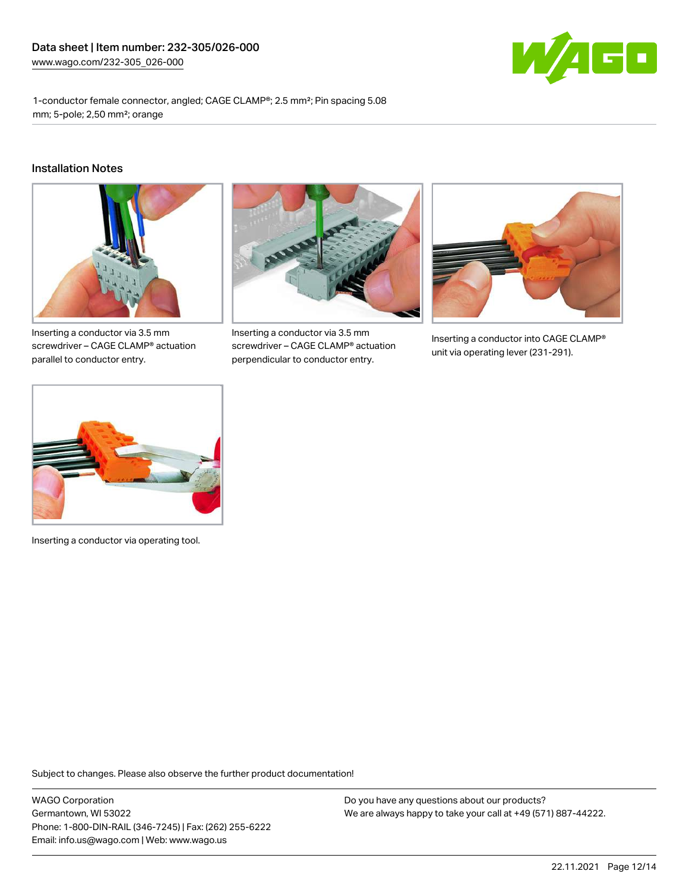

1-conductor female connector, angled; CAGE CLAMP®; 2.5 mm²; Pin spacing 5.08 mm; 5-pole; 2,50 mm²; orange

#### Installation Notes



Inserting a conductor via 3.5 mm screwdriver – CAGE CLAMP® actuation parallel to conductor entry.



Inserting a conductor via 3.5 mm screwdriver – CAGE CLAMP® actuation perpendicular to conductor entry.



Inserting a conductor into CAGE CLAMP® unit via operating lever (231-291).



Inserting a conductor via operating tool.

Subject to changes. Please also observe the further product documentation!

WAGO Corporation Germantown, WI 53022 Phone: 1-800-DIN-RAIL (346-7245) | Fax: (262) 255-6222 Email: info.us@wago.com | Web: www.wago.us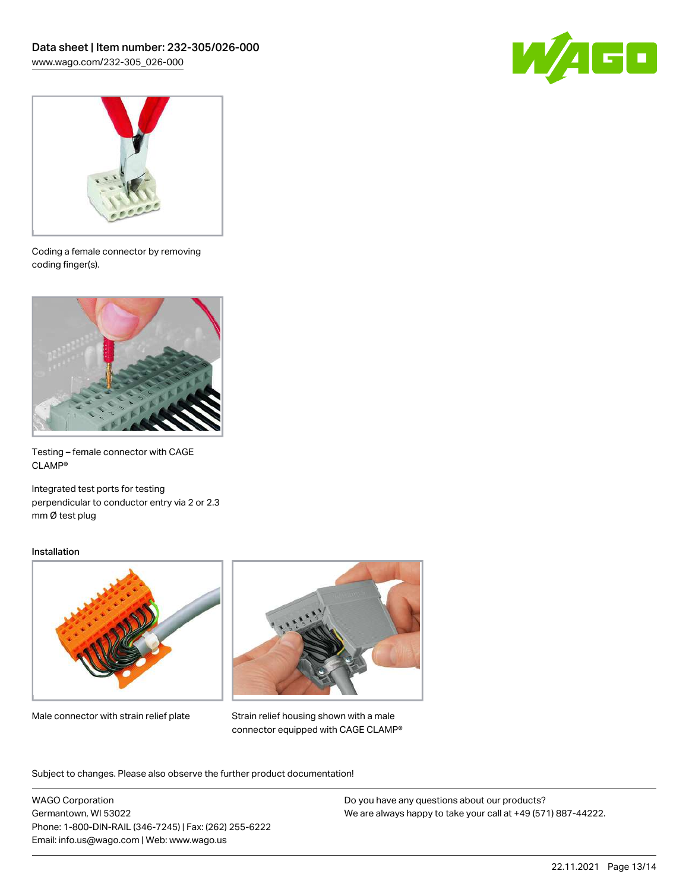



Coding a female connector by removing coding finger(s).



Testing – female connector with CAGE CLAMP®

Integrated test ports for testing perpendicular to conductor entry via 2 or 2.3 mm Ø test plug

#### Installation



Male connector with strain relief plate



Strain relief housing shown with a male connector equipped with CAGE CLAMP®

Subject to changes. Please also observe the further product documentation!

WAGO Corporation Germantown, WI 53022 Phone: 1-800-DIN-RAIL (346-7245) | Fax: (262) 255-6222 Email: info.us@wago.com | Web: www.wago.us